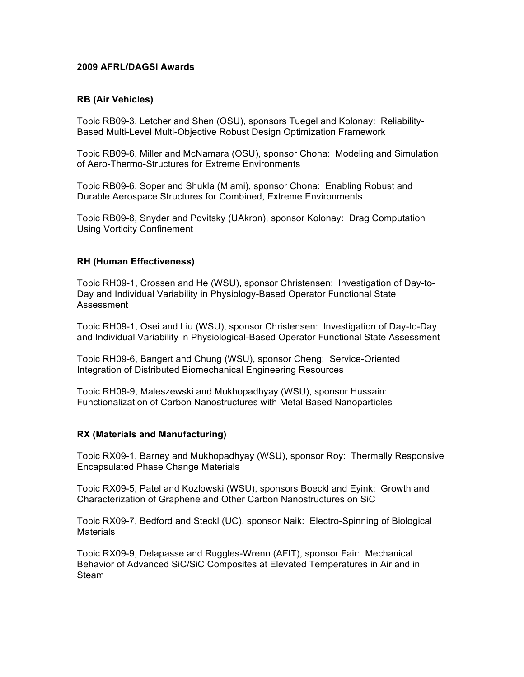### **2009 AFRL/DAGSI Awards**

### **RB (Air Vehicles)**

Topic RB09-3, Letcher and Shen (OSU), sponsors Tuegel and Kolonay: Reliability-Based Multi-Level Multi-Objective Robust Design Optimization Framework

Topic RB09-6, Miller and McNamara (OSU), sponsor Chona: Modeling and Simulation of Aero-Thermo-Structures for Extreme Environments

Topic RB09-6, Soper and Shukla (Miami), sponsor Chona: Enabling Robust and Durable Aerospace Structures for Combined, Extreme Environments

Topic RB09-8, Snyder and Povitsky (UAkron), sponsor Kolonay: Drag Computation Using Vorticity Confinement

### **RH (Human Effectiveness)**

Topic RH09-1, Crossen and He (WSU), sponsor Christensen: Investigation of Day-to-Day and Individual Variability in Physiology-Based Operator Functional State Assessment

Topic RH09-1, Osei and Liu (WSU), sponsor Christensen: Investigation of Day-to-Day and Individual Variability in Physiological-Based Operator Functional State Assessment

Topic RH09-6, Bangert and Chung (WSU), sponsor Cheng: Service-Oriented Integration of Distributed Biomechanical Engineering Resources

Topic RH09-9, Maleszewski and Mukhopadhyay (WSU), sponsor Hussain: Functionalization of Carbon Nanostructures with Metal Based Nanoparticles

### **RX (Materials and Manufacturing)**

Topic RX09-1, Barney and Mukhopadhyay (WSU), sponsor Roy: Thermally Responsive Encapsulated Phase Change Materials

Topic RX09-5, Patel and Kozlowski (WSU), sponsors Boeckl and Eyink: Growth and Characterization of Graphene and Other Carbon Nanostructures on SiC

Topic RX09-7, Bedford and Steckl (UC), sponsor Naik: Electro-Spinning of Biological **Materials** 

Topic RX09-9, Delapasse and Ruggles-Wrenn (AFIT), sponsor Fair: Mechanical Behavior of Advanced SiC/SiC Composites at Elevated Temperatures in Air and in Steam